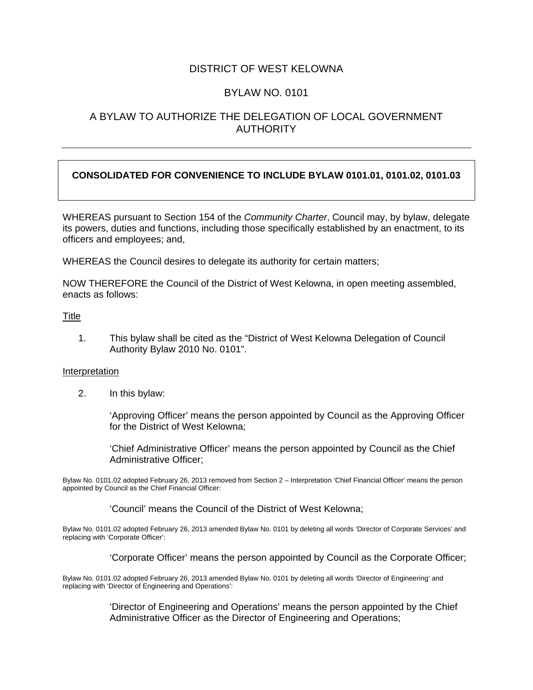# DISTRICT OF WEST KELOWNA

# BYLAW NO. 0101

# A BYLAW TO AUTHORIZE THE DELEGATION OF LOCAL GOVERNMENT **AUTHORITY**

### **CONSOLIDATED FOR CONVENIENCE TO INCLUDE BYLAW 0101.01, 0101.02, 0101.03**

WHEREAS pursuant to Section 154 of the *Community Charter*, Council may, by bylaw, delegate its powers, duties and functions, including those specifically established by an enactment, to its officers and employees; and,

WHEREAS the Council desires to delegate its authority for certain matters;

NOW THEREFORE the Council of the District of West Kelowna, in open meeting assembled, enacts as follows:

### **Title**

1. This bylaw shall be cited as the "District of West Kelowna Delegation of Council Authority Bylaw 2010 No. 0101".

#### Interpretation

2. In this bylaw:

'Approving Officer' means the person appointed by Council as the Approving Officer for the District of West Kelowna;

'Chief Administrative Officer' means the person appointed by Council as the Chief Administrative Officer;

Bylaw No. 0101.02 adopted February 26, 2013 removed from Section 2 – Interpretation 'Chief Financial Officer' means the person appointed by Council as the Chief Financial Officer:

'Council' means the Council of the District of West Kelowna;

Bylaw No. 0101.02 adopted February 26, 2013 amended Bylaw No. 0101 by deleting all words 'Director of Corporate Services' and replacing with 'Corporate Officer':

'Corporate Officer' means the person appointed by Council as the Corporate Officer;

Bylaw No. 0101.02 adopted February 26, 2013 amended Bylaw No. 0101 by deleting all words 'Director of Engineering' and replacing with 'Director of Engineering and Operations':

> 'Director of Engineering and Operations' means the person appointed by the Chief Administrative Officer as the Director of Engineering and Operations;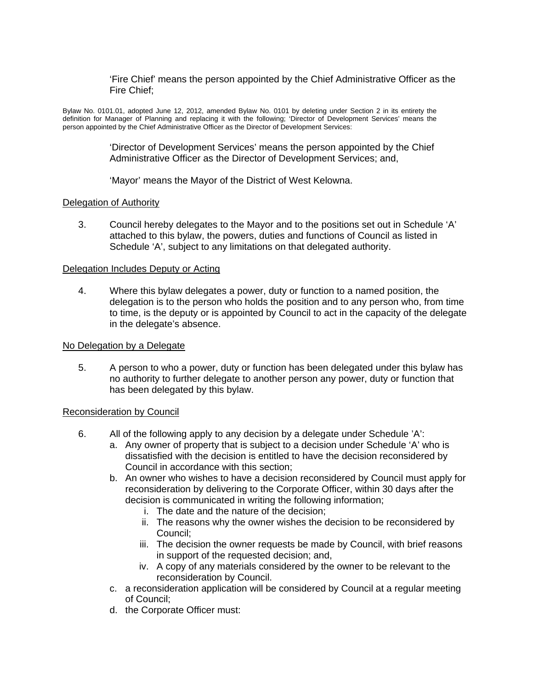'Fire Chief' means the person appointed by the Chief Administrative Officer as the Fire Chief;

Bylaw No. 0101.01, adopted June 12, 2012, amended Bylaw No. 0101 by deleting under Section 2 in its entirety the definition for Manager of Planning and replacing it with the following; 'Director of Development Services' means the person appointed by the Chief Administrative Officer as the Director of Development Services:

> 'Director of Development Services' means the person appointed by the Chief Administrative Officer as the Director of Development Services; and,

'Mayor' means the Mayor of the District of West Kelowna.

### Delegation of Authority

3. Council hereby delegates to the Mayor and to the positions set out in Schedule 'A' attached to this bylaw, the powers, duties and functions of Council as listed in Schedule 'A', subject to any limitations on that delegated authority.

#### Delegation Includes Deputy or Acting

4. Where this bylaw delegates a power, duty or function to a named position, the delegation is to the person who holds the position and to any person who, from time to time, is the deputy or is appointed by Council to act in the capacity of the delegate in the delegate's absence.

#### No Delegation by a Delegate

5. A person to who a power, duty or function has been delegated under this bylaw has no authority to further delegate to another person any power, duty or function that has been delegated by this bylaw.

### Reconsideration by Council

- 6. All of the following apply to any decision by a delegate under Schedule 'A':
	- a. Any owner of property that is subject to a decision under Schedule 'A' who is dissatisfied with the decision is entitled to have the decision reconsidered by Council in accordance with this section;
	- b. An owner who wishes to have a decision reconsidered by Council must apply for reconsideration by delivering to the Corporate Officer, within 30 days after the decision is communicated in writing the following information;
		- i. The date and the nature of the decision;
		- ii. The reasons why the owner wishes the decision to be reconsidered by Council;
		- iii. The decision the owner requests be made by Council, with brief reasons in support of the requested decision; and,
		- iv. A copy of any materials considered by the owner to be relevant to the reconsideration by Council.
	- c. a reconsideration application will be considered by Council at a regular meeting of Council;
	- d. the Corporate Officer must: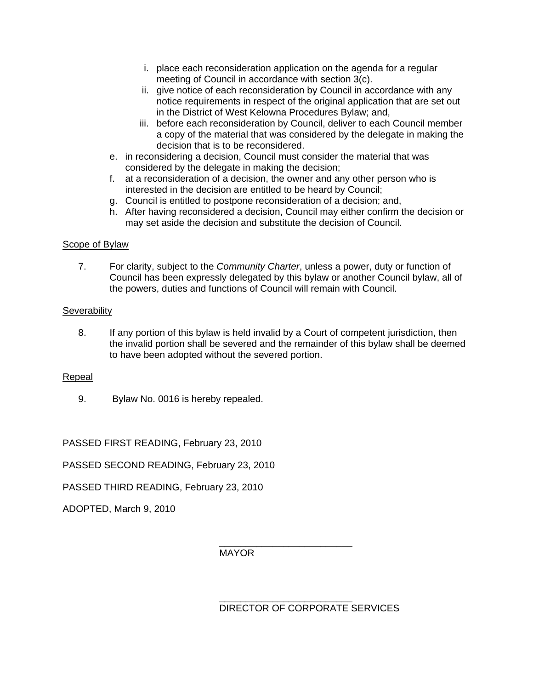- i. place each reconsideration application on the agenda for a regular meeting of Council in accordance with section 3(c).
- ii. give notice of each reconsideration by Council in accordance with any notice requirements in respect of the original application that are set out in the District of West Kelowna Procedures Bylaw; and,
- iii. before each reconsideration by Council, deliver to each Council member a copy of the material that was considered by the delegate in making the decision that is to be reconsidered.
- e. in reconsidering a decision, Council must consider the material that was considered by the delegate in making the decision;
- f. at a reconsideration of a decision, the owner and any other person who is interested in the decision are entitled to be heard by Council;
- g. Council is entitled to postpone reconsideration of a decision; and,
- h. After having reconsidered a decision, Council may either confirm the decision or may set aside the decision and substitute the decision of Council.

## Scope of Bylaw

7. For clarity, subject to the *Community Charter*, unless a power, duty or function of Council has been expressly delegated by this bylaw or another Council bylaw, all of the powers, duties and functions of Council will remain with Council.

### **Severability**

8. If any portion of this bylaw is held invalid by a Court of competent jurisdiction, then the invalid portion shall be severed and the remainder of this bylaw shall be deemed to have been adopted without the severed portion.

### Repeal

9. Bylaw No. 0016 is hereby repealed.

PASSED FIRST READING, February 23, 2010

PASSED SECOND READING, February 23, 2010

PASSED THIRD READING, February 23, 2010

ADOPTED, March 9, 2010

 $\frac{1}{\sqrt{2\pi}}$  ,  $\frac{1}{\sqrt{2\pi}}$  ,  $\frac{1}{\sqrt{2\pi}}$  ,  $\frac{1}{\sqrt{2\pi}}$  ,  $\frac{1}{\sqrt{2\pi}}$  ,  $\frac{1}{\sqrt{2\pi}}$  ,  $\frac{1}{\sqrt{2\pi}}$  ,  $\frac{1}{\sqrt{2\pi}}$  ,  $\frac{1}{\sqrt{2\pi}}$  ,  $\frac{1}{\sqrt{2\pi}}$  ,  $\frac{1}{\sqrt{2\pi}}$  ,  $\frac{1}{\sqrt{2\pi}}$  ,  $\frac{1}{\sqrt{2\pi}}$  , MAYOR

 $\frac{1}{\sqrt{2}}$  ,  $\frac{1}{\sqrt{2}}$  ,  $\frac{1}{\sqrt{2}}$  ,  $\frac{1}{\sqrt{2}}$  ,  $\frac{1}{\sqrt{2}}$  ,  $\frac{1}{\sqrt{2}}$  ,  $\frac{1}{\sqrt{2}}$  ,  $\frac{1}{\sqrt{2}}$  ,  $\frac{1}{\sqrt{2}}$  ,  $\frac{1}{\sqrt{2}}$  ,  $\frac{1}{\sqrt{2}}$  ,  $\frac{1}{\sqrt{2}}$  ,  $\frac{1}{\sqrt{2}}$  ,  $\frac{1}{\sqrt{2}}$  ,  $\frac{1}{\sqrt{2}}$ DIRECTOR OF CORPORATE SERVICES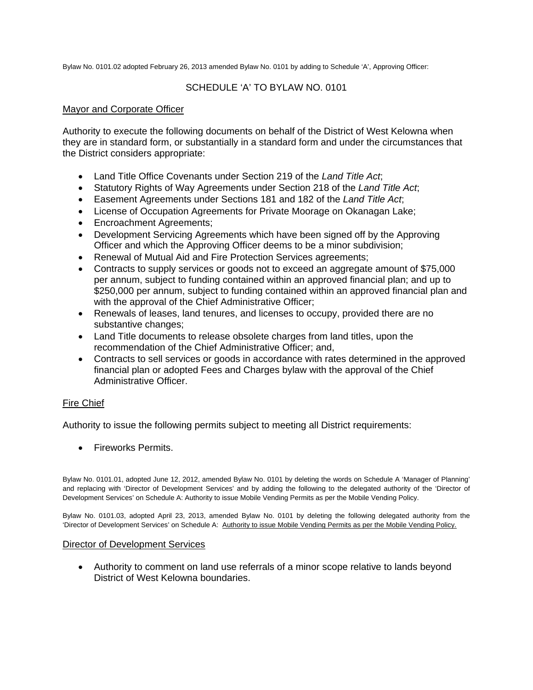Bylaw No. 0101.02 adopted February 26, 2013 amended Bylaw No. 0101 by adding to Schedule 'A', Approving Officer:

## SCHEDULE 'A' TO BYLAW NO. 0101

### Mayor and Corporate Officer

Authority to execute the following documents on behalf of the District of West Kelowna when they are in standard form, or substantially in a standard form and under the circumstances that the District considers appropriate:

- Land Title Office Covenants under Section 219 of the *Land Title Act*;
- Statutory Rights of Way Agreements under Section 218 of the *Land Title Act*;
- Easement Agreements under Sections 181 and 182 of the *Land Title Act*;
- License of Occupation Agreements for Private Moorage on Okanagan Lake;
- Encroachment Agreements;
- Development Servicing Agreements which have been signed off by the Approving Officer and which the Approving Officer deems to be a minor subdivision;
- Renewal of Mutual Aid and Fire Protection Services agreements;
- Contracts to supply services or goods not to exceed an aggregate amount of \$75,000 per annum, subject to funding contained within an approved financial plan; and up to \$250,000 per annum, subject to funding contained within an approved financial plan and with the approval of the Chief Administrative Officer;
- Renewals of leases, land tenures, and licenses to occupy, provided there are no substantive changes;
- Land Title documents to release obsolete charges from land titles, upon the recommendation of the Chief Administrative Officer; and,
- Contracts to sell services or goods in accordance with rates determined in the approved financial plan or adopted Fees and Charges bylaw with the approval of the Chief Administrative Officer.

### Fire Chief

Authority to issue the following permits subject to meeting all District requirements:

**•** Fireworks Permits.

Bylaw No. 0101.01, adopted June 12, 2012, amended Bylaw No. 0101 by deleting the words on Schedule A 'Manager of Planning' and replacing with 'Director of Development Services' and by adding the following to the delegated authority of the 'Director of Development Services' on Schedule A: Authority to issue Mobile Vending Permits as per the Mobile Vending Policy.

Bylaw No. 0101.03, adopted April 23, 2013, amended Bylaw No. 0101 by deleting the following delegated authority from the 'Director of Development Services' on Schedule A: Authority to issue Mobile Vending Permits as per the Mobile Vending Policy.

#### Director of Development Services

 Authority to comment on land use referrals of a minor scope relative to lands beyond District of West Kelowna boundaries.